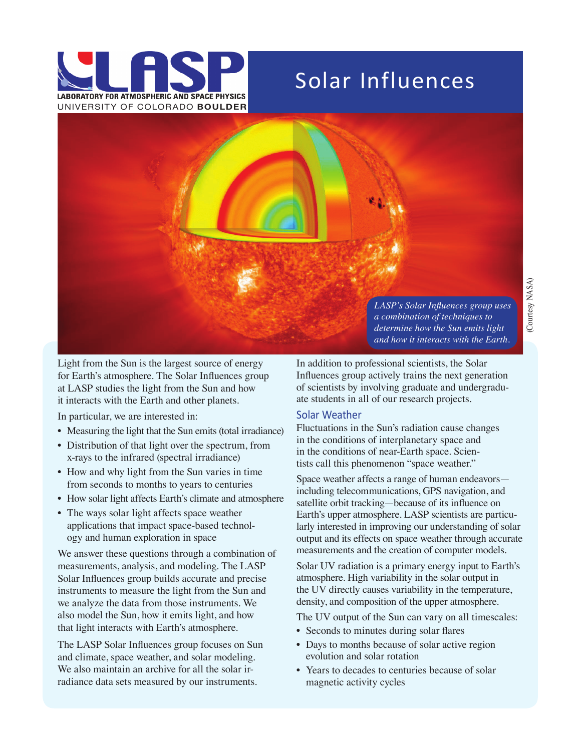

## Solar Influences



Light from the Sun is the largest source of energy for Earth's atmosphere. The Solar Influences group at LASP studies the light from the Sun and how it interacts with the Earth and other planets.

In particular, we are interested in:

- Measuring the light that the Sun emits (total irradiance)
- Distribution of that light over the spectrum, from x-rays to the infrared (spectral irradiance)
- How and why light from the Sun varies in time from seconds to months to years to centuries
- How solar light affects Earth's climate and atmosphere
- The ways solar light affects space weather applications that impact space-based technology and human exploration in space

We answer these questions through a combination of measurements, analysis, and modeling. The LASP Solar Influences group builds accurate and precise instruments to measure the light from the Sun and we analyze the data from those instruments. We also model the Sun, how it emits light, and how that light interacts with Earth's atmosphere.

The LASP Solar Influences group focuses on Sun and climate, space weather, and solar modeling. We also maintain an archive for all the solar irradiance data sets measured by our instruments.

*LASP's Solar Influences group uses a combination of techniques to determine how the Sun emits light and how it interacts with the Earth.*

In addition to professional scientists, the Solar Influences group actively trains the next generation of scientists by involving graduate and undergraduate students in all of our research projects.

## Solar Weather

Fluctuations in the Sun's radiation cause changes in the conditions of interplanetary space and in the conditions of near-Earth space. Scientists call this phenomenon "space weather."

Space weather affects a range of human endeavors including telecommunications, GPS navigation, and satellite orbit tracking—because of its influence on Earth's upper atmosphere. LASP scientists are particularly interested in improving our understanding of solar output and its effects on space weather through accurate measurements and the creation of computer models.

Solar UV radiation is a primary energy input to Earth's atmosphere. High variability in the solar output in the UV directly causes variability in the temperature, density, and composition of the upper atmosphere.

The UV output of the Sun can vary on all timescales:

- Seconds to minutes during solar flares
- Days to months because of solar active region evolution and solar rotation
- Years to decades to centuries because of solar magnetic activity cycles